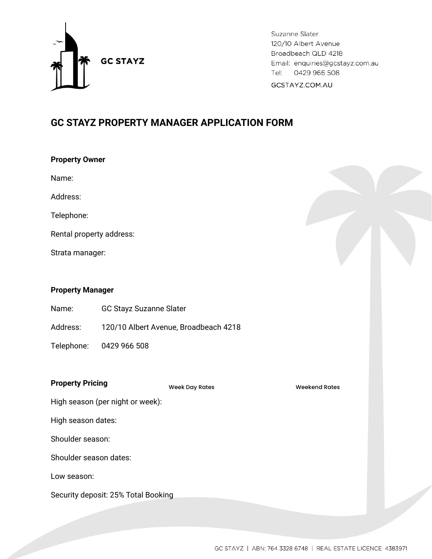

Suzanne Slater 120/10 Albert Avenue Broadbeach QLD 4218 Email: enquiries@gcstayz.com.au Tel: 0429 966 508 GCSTAYZ.COM.AU

# **GC STAYZ PROPERTY MANAGER APPLICATION FORM**

| <b>Property Owner</b> |  |
|-----------------------|--|
|                       |  |

Name:

Address:

Telephone:

Rental property address:

Strata manager:

# **Property Manager**

Name: GC Stayz Suzanne Slater

Address: 120/10 Albert Avenue, Broadbeach 4218

Telephone: 0429 966 508

# **Property Pricing**

Week Day Rates Neekend Rates

High season (per night or week):

High season dates:

Shoulder season:

Shoulder season dates:

Low season:

Security deposit: 25% Total Booking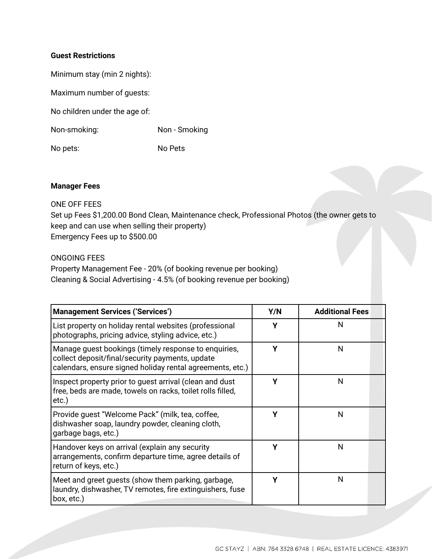## **Guest Restrictions**

Minimum stay (min 2 nights):

Maximum number of guests:

No children under the age of:

Non-smoking: Non - Smoking

No pets: No Pets

## **Manager Fees**

## ONE OFF FEES

Set up Fees \$1,200.00 Bond Clean, Maintenance check, Professional Photos (the owner gets to keep and can use when selling their property) Emergency Fees up to \$500.00

# ONGOING FEES

Property Management Fee - 20% (of booking revenue per booking) Cleaning & Social Advertising - 4.5% (of booking revenue per booking)

| <b>Management Services ('Services')</b>                                                                                                                              | Y/N | <b>Additional Fees</b> |  |
|----------------------------------------------------------------------------------------------------------------------------------------------------------------------|-----|------------------------|--|
| List property on holiday rental websites (professional<br>photographs, pricing advice, styling advice, etc.)                                                         | Υ   | N                      |  |
| Manage guest bookings (timely response to enquiries,<br>collect deposit/final/security payments, update<br>calendars, ensure signed holiday rental agreements, etc.) | Υ   | N                      |  |
| Inspect property prior to guest arrival (clean and dust<br>free, beds are made, towels on racks, toilet rolls filled,<br>etc.)                                       | γ   | N                      |  |
| Provide guest "Welcome Pack" (milk, tea, coffee,<br>dishwasher soap, laundry powder, cleaning cloth,<br>garbage bags, etc.)                                          | γ   | N                      |  |
| Handover keys on arrival (explain any security<br>arrangements, confirm departure time, agree details of<br>return of keys, etc.)                                    | γ   | N                      |  |
| Meet and greet guests (show them parking, garbage,<br>laundry, dishwasher, TV remotes, fire extinguishers, fuse<br>box, etc.)                                        | γ   | N                      |  |